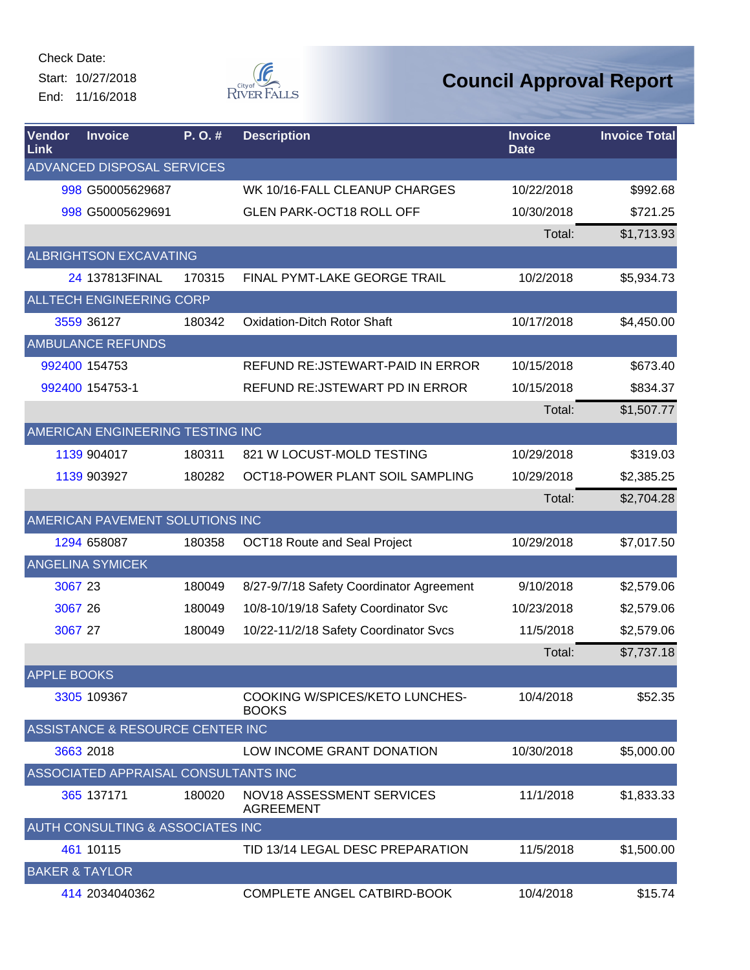Check Date: Start: 10/27/2018

End: 11/16/2018



| Vendor<br>Link            | <b>Invoice</b>                       | P.O.#  | <b>Description</b>                             | <b>Invoice</b><br><b>Date</b> | <b>Invoice Total</b> |
|---------------------------|--------------------------------------|--------|------------------------------------------------|-------------------------------|----------------------|
|                           | ADVANCED DISPOSAL SERVICES           |        |                                                |                               |                      |
|                           | 998 G50005629687                     |        | WK 10/16-FALL CLEANUP CHARGES                  | 10/22/2018                    | \$992.68             |
|                           | 998 G50005629691                     |        | <b>GLEN PARK-OCT18 ROLL OFF</b>                | 10/30/2018                    | \$721.25             |
|                           |                                      |        |                                                | Total:                        | \$1,713.93           |
|                           | <b>ALBRIGHTSON EXCAVATING</b>        |        |                                                |                               |                      |
|                           | 24 137813FINAL                       | 170315 | FINAL PYMT-LAKE GEORGE TRAIL                   | 10/2/2018                     | \$5,934.73           |
|                           | ALLTECH ENGINEERING CORP             |        |                                                |                               |                      |
|                           | 3559 36127                           | 180342 | <b>Oxidation-Ditch Rotor Shaft</b>             | 10/17/2018                    | \$4,450.00           |
|                           | <b>AMBULANCE REFUNDS</b>             |        |                                                |                               |                      |
|                           | 992400 154753                        |        | REFUND RE: JSTEWART-PAID IN ERROR              | 10/15/2018                    | \$673.40             |
|                           | 992400 154753-1                      |        | REFUND RE: JSTEWART PD IN ERROR                | 10/15/2018                    | \$834.37             |
|                           |                                      |        |                                                | Total:                        | \$1,507.77           |
|                           | AMERICAN ENGINEERING TESTING INC     |        |                                                |                               |                      |
|                           | 1139 904017                          | 180311 | 821 W LOCUST-MOLD TESTING                      | 10/29/2018                    | \$319.03             |
|                           | 1139 903927                          | 180282 | OCT18-POWER PLANT SOIL SAMPLING                | 10/29/2018                    | \$2,385.25           |
|                           |                                      |        |                                                | Total:                        | \$2,704.28           |
|                           | AMERICAN PAVEMENT SOLUTIONS INC      |        |                                                |                               |                      |
|                           | 1294 658087                          | 180358 | OCT18 Route and Seal Project                   | 10/29/2018                    | \$7,017.50           |
|                           | <b>ANGELINA SYMICEK</b>              |        |                                                |                               |                      |
| 3067 23                   |                                      | 180049 | 8/27-9/7/18 Safety Coordinator Agreement       | 9/10/2018                     | \$2,579.06           |
| 3067 26                   |                                      | 180049 | 10/8-10/19/18 Safety Coordinator Svc           | 10/23/2018                    | \$2,579.06           |
| 3067 27                   |                                      | 180049 | 10/22-11/2/18 Safety Coordinator Svcs          | 11/5/2018                     | \$2,579.06           |
|                           |                                      |        |                                                | Total:                        | \$7,737.18           |
| <b>APPLE BOOKS</b>        |                                      |        |                                                |                               |                      |
|                           | 3305 109367                          |        | COOKING W/SPICES/KETO LUNCHES-<br><b>BOOKS</b> | 10/4/2018                     | \$52.35              |
|                           | ASSISTANCE & RESOURCE CENTER INC     |        |                                                |                               |                      |
|                           | 3663 2018                            |        | LOW INCOME GRANT DONATION                      | 10/30/2018                    | \$5,000.00           |
|                           | ASSOCIATED APPRAISAL CONSULTANTS INC |        |                                                |                               |                      |
|                           | 365 137171                           | 180020 | NOV18 ASSESSMENT SERVICES<br><b>AGREEMENT</b>  | 11/1/2018                     | \$1,833.33           |
|                           | AUTH CONSULTING & ASSOCIATES INC     |        |                                                |                               |                      |
|                           | 461 10115                            |        | TID 13/14 LEGAL DESC PREPARATION               | 11/5/2018                     | \$1,500.00           |
| <b>BAKER &amp; TAYLOR</b> |                                      |        |                                                |                               |                      |
|                           | 414 2034040362                       |        | COMPLETE ANGEL CATBIRD-BOOK                    | 10/4/2018                     | \$15.74              |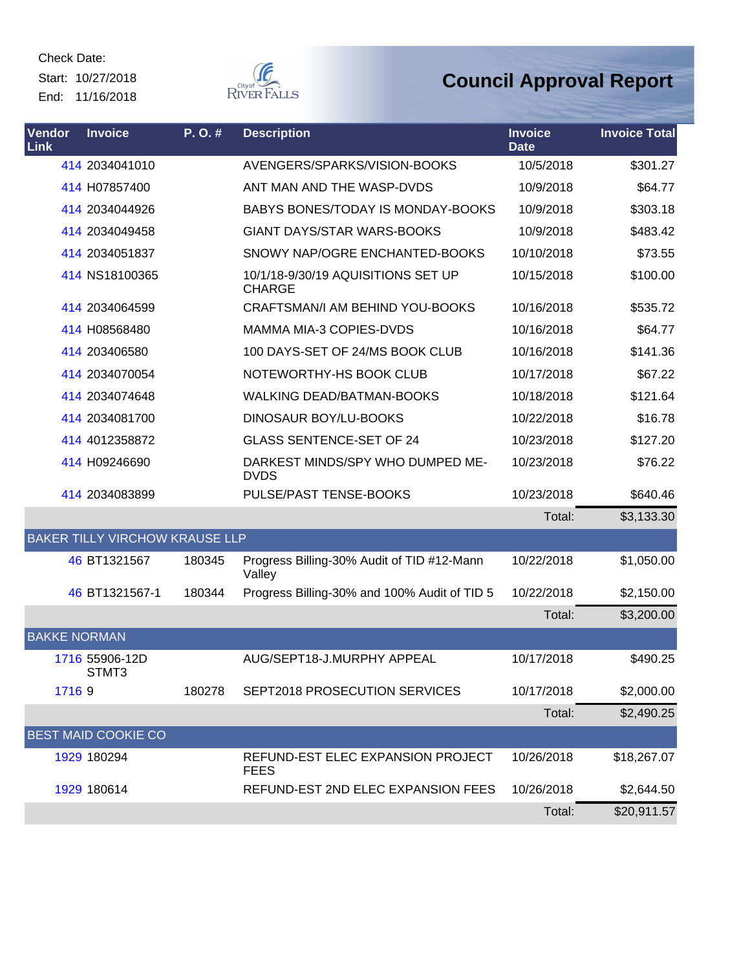Start: 10/27/2018 End: 11/16/2018



| Vendor<br><b>Link</b> | <b>Invoice</b>                        | P.O.#  | <b>Description</b>                                   | <b>Invoice</b><br><b>Date</b> | <b>Invoice Total</b> |
|-----------------------|---------------------------------------|--------|------------------------------------------------------|-------------------------------|----------------------|
|                       | 414 2034041010                        |        | AVENGERS/SPARKS/VISION-BOOKS                         | 10/5/2018                     | \$301.27             |
|                       | 414 H07857400                         |        | ANT MAN AND THE WASP-DVDS                            | 10/9/2018                     | \$64.77              |
|                       | 414 2034044926                        |        | BABYS BONES/TODAY IS MONDAY-BOOKS                    | 10/9/2018                     | \$303.18             |
|                       | 414 2034049458                        |        | <b>GIANT DAYS/STAR WARS-BOOKS</b>                    | 10/9/2018                     | \$483.42             |
|                       | 414 2034051837                        |        | SNOWY NAP/OGRE ENCHANTED-BOOKS                       | 10/10/2018                    | \$73.55              |
|                       | 414 NS18100365                        |        | 10/1/18-9/30/19 AQUISITIONS SET UP<br><b>CHARGE</b>  | 10/15/2018                    | \$100.00             |
|                       | 414 2034064599                        |        | CRAFTSMAN/I AM BEHIND YOU-BOOKS                      | 10/16/2018                    | \$535.72             |
|                       | 414 H08568480                         |        | MAMMA MIA-3 COPIES-DVDS                              | 10/16/2018                    | \$64.77              |
|                       | 414 203406580                         |        | 100 DAYS-SET OF 24/MS BOOK CLUB                      | 10/16/2018                    | \$141.36             |
|                       | 414 2034070054                        |        | NOTEWORTHY-HS BOOK CLUB                              | 10/17/2018                    | \$67.22              |
|                       | 414 2034074648                        |        | <b>WALKING DEAD/BATMAN-BOOKS</b>                     | 10/18/2018                    | \$121.64             |
|                       | 414 2034081700                        |        | DINOSAUR BOY/LU-BOOKS                                | 10/22/2018                    | \$16.78              |
|                       | 414 4012358872                        |        | <b>GLASS SENTENCE-SET OF 24</b>                      | 10/23/2018                    | \$127.20             |
|                       | 414 H09246690                         |        | DARKEST MINDS/SPY WHO DUMPED ME-<br><b>DVDS</b>      | 10/23/2018                    | \$76.22              |
|                       | 414 2034083899                        |        | PULSE/PAST TENSE-BOOKS                               | 10/23/2018                    | \$640.46             |
|                       |                                       |        |                                                      | Total:                        | \$3,133.30           |
|                       | <b>BAKER TILLY VIRCHOW KRAUSE LLP</b> |        |                                                      |                               |                      |
|                       | 46 BT1321567                          | 180345 | Progress Billing-30% Audit of TID #12-Mann<br>Valley | 10/22/2018                    | \$1,050.00           |
|                       | 46 BT1321567-1                        | 180344 | Progress Billing-30% and 100% Audit of TID 5         | 10/22/2018                    | \$2,150.00           |
|                       |                                       |        |                                                      | Total:                        | \$3,200.00           |
| <b>BAKKE NORMAN</b>   |                                       |        |                                                      |                               |                      |
|                       | 1716 55906-12D<br>STMT3               |        | AUG/SEPT18-J.MURPHY APPEAL                           | 10/17/2018                    | \$490.25             |
| 17169                 |                                       | 180278 | SEPT2018 PROSECUTION SERVICES                        | 10/17/2018                    | \$2,000.00           |
|                       |                                       |        |                                                      | Total:                        | \$2,490.25           |
|                       | <b>BEST MAID COOKIE CO</b>            |        |                                                      |                               |                      |
|                       | 1929 180294                           |        | REFUND-EST ELEC EXPANSION PROJECT<br><b>FEES</b>     | 10/26/2018                    | \$18,267.07          |
|                       | 1929 180614                           |        | REFUND-EST 2ND ELEC EXPANSION FEES                   | 10/26/2018                    | \$2,644.50           |
|                       |                                       |        |                                                      | Total:                        | \$20,911.57          |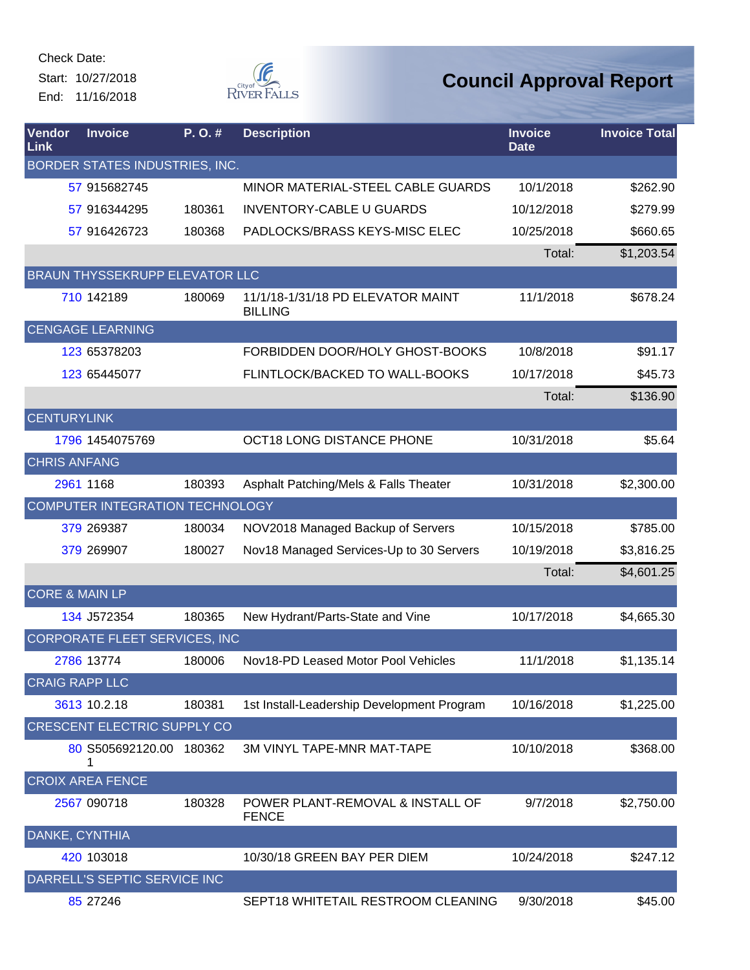Start: 10/27/2018 End: 11/16/2018



| Vendor<br>Link            | <b>Invoice</b>                        | P.O.#  | <b>Description</b>                                  | <b>Invoice</b><br><b>Date</b> | <b>Invoice Total</b> |
|---------------------------|---------------------------------------|--------|-----------------------------------------------------|-------------------------------|----------------------|
|                           | BORDER STATES INDUSTRIES, INC.        |        |                                                     |                               |                      |
|                           | 57 915682745                          |        | MINOR MATERIAL-STEEL CABLE GUARDS                   | 10/1/2018                     | \$262.90             |
|                           | 57 916344295                          | 180361 | <b>INVENTORY-CABLE U GUARDS</b>                     | 10/12/2018                    | \$279.99             |
|                           | 57 916426723                          | 180368 | PADLOCKS/BRASS KEYS-MISC ELEC                       | 10/25/2018                    | \$660.65             |
|                           |                                       |        |                                                     | Total:                        | \$1,203.54           |
|                           | <b>BRAUN THYSSEKRUPP ELEVATOR LLC</b> |        |                                                     |                               |                      |
|                           | 710 142189                            | 180069 | 11/1/18-1/31/18 PD ELEVATOR MAINT<br><b>BILLING</b> | 11/1/2018                     | \$678.24             |
|                           | <b>CENGAGE LEARNING</b>               |        |                                                     |                               |                      |
|                           | 123 65378203                          |        | FORBIDDEN DOOR/HOLY GHOST-BOOKS                     | 10/8/2018                     | \$91.17              |
|                           | 123 65445077                          |        | FLINTLOCK/BACKED TO WALL-BOOKS                      | 10/17/2018                    | \$45.73              |
|                           |                                       |        |                                                     | Total:                        | \$136.90             |
| <b>CENTURYLINK</b>        |                                       |        |                                                     |                               |                      |
|                           | 1796 1454075769                       |        | OCT18 LONG DISTANCE PHONE                           | 10/31/2018                    | \$5.64               |
| <b>CHRIS ANFANG</b>       |                                       |        |                                                     |                               |                      |
|                           | 2961 1168                             | 180393 | Asphalt Patching/Mels & Falls Theater               | 10/31/2018                    | \$2,300.00           |
|                           | COMPUTER INTEGRATION TECHNOLOGY       |        |                                                     |                               |                      |
|                           | 379 269387                            | 180034 | NOV2018 Managed Backup of Servers                   | 10/15/2018                    | \$785.00             |
|                           | 379 269907                            | 180027 | Nov18 Managed Services-Up to 30 Servers             | 10/19/2018                    | \$3,816.25           |
|                           |                                       |        |                                                     | Total:                        | \$4,601.25           |
| <b>CORE &amp; MAIN LP</b> |                                       |        |                                                     |                               |                      |
|                           | 134 J572354                           | 180365 | New Hydrant/Parts-State and Vine                    | 10/17/2018                    | \$4,665.30           |
|                           | <b>CORPORATE FLEET SERVICES, INC</b>  |        |                                                     |                               |                      |
|                           | 2786 13774                            | 180006 | Nov18-PD Leased Motor Pool Vehicles                 | 11/1/2018                     | \$1,135.14           |
| <b>CRAIG RAPP LLC</b>     |                                       |        |                                                     |                               |                      |
|                           | 3613 10.2.18                          | 180381 | 1st Install-Leadership Development Program          | 10/16/2018                    | \$1,225.00           |
|                           | <b>CRESCENT ELECTRIC SUPPLY CO</b>    |        |                                                     |                               |                      |
|                           | 80 S505692120.00 180362<br>1          |        | <b>3M VINYL TAPE-MNR MAT-TAPE</b>                   | 10/10/2018                    | \$368.00             |
|                           | <b>CROIX AREA FENCE</b>               |        |                                                     |                               |                      |
|                           | 2567 090718                           | 180328 | POWER PLANT-REMOVAL & INSTALL OF<br><b>FENCE</b>    | 9/7/2018                      | \$2,750.00           |
| DANKE, CYNTHIA            |                                       |        |                                                     |                               |                      |
|                           | 420 103018                            |        | 10/30/18 GREEN BAY PER DIEM                         | 10/24/2018                    | \$247.12             |
|                           | DARRELL'S SEPTIC SERVICE INC          |        |                                                     |                               |                      |
|                           | 85 27 246                             |        | SEPT18 WHITETAIL RESTROOM CLEANING                  | 9/30/2018                     | \$45.00              |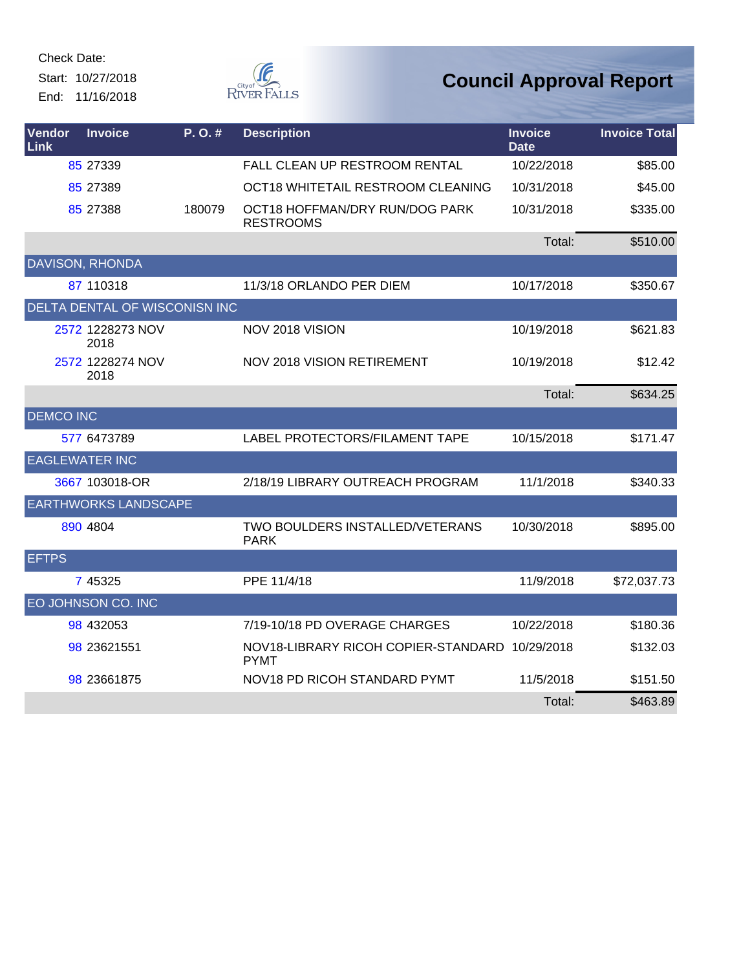Start: 10/27/2018 End: 11/16/2018



| <b>Vendor</b><br>Link | <b>Invoice</b>                | P. O. # | <b>Description</b>                                            | <b>Invoice</b><br><b>Date</b> | <b>Invoice Total</b> |
|-----------------------|-------------------------------|---------|---------------------------------------------------------------|-------------------------------|----------------------|
|                       | 85 27339                      |         | FALL CLEAN UP RESTROOM RENTAL                                 | 10/22/2018                    | \$85.00              |
|                       | 85 27389                      |         | OCT18 WHITETAIL RESTROOM CLEANING                             | 10/31/2018                    | \$45.00              |
|                       | 85 27388                      | 180079  | OCT18 HOFFMAN/DRY RUN/DOG PARK<br><b>RESTROOMS</b>            | 10/31/2018                    | \$335.00             |
|                       |                               |         |                                                               | Total:                        | \$510.00             |
|                       | <b>DAVISON, RHONDA</b>        |         |                                                               |                               |                      |
|                       | 87 110318                     |         | 11/3/18 ORLANDO PER DIEM                                      | 10/17/2018                    | \$350.67             |
|                       | DELTA DENTAL OF WISCONISN INC |         |                                                               |                               |                      |
|                       | 2572 1228273 NOV<br>2018      |         | NOV 2018 VISION                                               | 10/19/2018                    | \$621.83             |
|                       | 2572 1228274 NOV<br>2018      |         | <b>NOV 2018 VISION RETIREMENT</b>                             | 10/19/2018                    | \$12.42              |
|                       |                               |         |                                                               | Total:                        | \$634.25             |
| <b>DEMCO INC</b>      |                               |         |                                                               |                               |                      |
|                       | 577 6473789                   |         | LABEL PROTECTORS/FILAMENT TAPE                                | 10/15/2018                    | \$171.47             |
| <b>EAGLEWATER INC</b> |                               |         |                                                               |                               |                      |
|                       | 3667 103018-OR                |         | 2/18/19 LIBRARY OUTREACH PROGRAM                              | 11/1/2018                     | \$340.33             |
|                       | <b>EARTHWORKS LANDSCAPE</b>   |         |                                                               |                               |                      |
|                       | 890 4804                      |         | TWO BOULDERS INSTALLED/VETERANS<br><b>PARK</b>                | 10/30/2018                    | \$895.00             |
| <b>EFTPS</b>          |                               |         |                                                               |                               |                      |
|                       | 7 45325                       |         | PPE 11/4/18                                                   | 11/9/2018                     | \$72,037.73          |
|                       | EO JOHNSON CO. INC            |         |                                                               |                               |                      |
|                       | 98 432053                     |         | 7/19-10/18 PD OVERAGE CHARGES                                 | 10/22/2018                    | \$180.36             |
|                       | 98 23621551                   |         | NOV18-LIBRARY RICOH COPIER-STANDARD 10/29/2018<br><b>PYMT</b> |                               | \$132.03             |
|                       | 98 23661875                   |         | NOV18 PD RICOH STANDARD PYMT                                  | 11/5/2018                     | \$151.50             |
|                       |                               |         |                                                               | Total:                        | \$463.89             |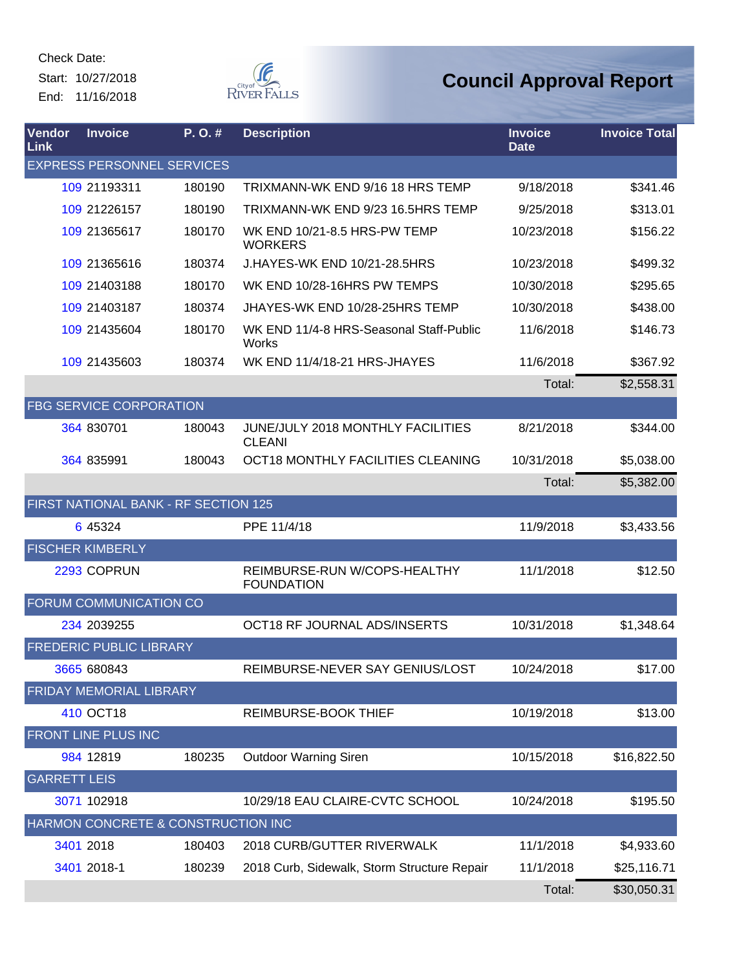Check Date: Start: 10/27/2018

End: 11/16/2018



| Vendor<br>Link      | <b>Invoice</b>                       | P.O.#  | <b>Description</b>                                        | <b>Invoice</b><br><b>Date</b> | <b>Invoice Total</b> |
|---------------------|--------------------------------------|--------|-----------------------------------------------------------|-------------------------------|----------------------|
|                     | <b>EXPRESS PERSONNEL SERVICES</b>    |        |                                                           |                               |                      |
|                     | 109 21193311                         | 180190 | TRIXMANN-WK END 9/16 18 HRS TEMP                          | 9/18/2018                     | \$341.46             |
|                     | 109 21226157                         | 180190 | TRIXMANN-WK END 9/23 16.5HRS TEMP                         | 9/25/2018                     | \$313.01             |
|                     | 109 21365617                         | 180170 | WK END 10/21-8.5 HRS-PW TEMP<br><b>WORKERS</b>            | 10/23/2018                    | \$156.22             |
|                     | 109 21365616                         | 180374 | J.HAYES-WK END 10/21-28.5HRS                              | 10/23/2018                    | \$499.32             |
|                     | 109 21403188                         | 180170 | WK END 10/28-16HRS PW TEMPS                               | 10/30/2018                    | \$295.65             |
|                     | 109 21403187                         | 180374 | JHAYES-WK END 10/28-25HRS TEMP                            | 10/30/2018                    | \$438.00             |
|                     | 109 21435604                         | 180170 | WK END 11/4-8 HRS-Seasonal Staff-Public<br>Works          | 11/6/2018                     | \$146.73             |
|                     | 109 21435603                         | 180374 | WK END 11/4/18-21 HRS-JHAYES                              | 11/6/2018                     | \$367.92             |
|                     |                                      |        |                                                           | Total:                        | \$2,558.31           |
|                     | <b>FBG SERVICE CORPORATION</b>       |        |                                                           |                               |                      |
|                     | 364 830701                           | 180043 | <b>JUNE/JULY 2018 MONTHLY FACILITIES</b><br><b>CLEANI</b> | 8/21/2018                     | \$344.00             |
|                     | 364 835991                           | 180043 | OCT18 MONTHLY FACILITIES CLEANING                         | 10/31/2018                    | \$5,038.00           |
|                     |                                      |        |                                                           | Total:                        | \$5,382.00           |
|                     | FIRST NATIONAL BANK - RF SECTION 125 |        |                                                           |                               |                      |
|                     | 6 45324                              |        | PPE 11/4/18                                               | 11/9/2018                     | \$3,433.56           |
|                     | <b>FISCHER KIMBERLY</b>              |        |                                                           |                               |                      |
|                     | 2293 COPRUN                          |        | REIMBURSE-RUN W/COPS-HEALTHY<br><b>FOUNDATION</b>         | 11/1/2018                     | \$12.50              |
|                     | FORUM COMMUNICATION CO               |        |                                                           |                               |                      |
|                     | 234 2039255                          |        | OCT18 RF JOURNAL ADS/INSERTS                              | 10/31/2018                    | \$1,348.64           |
|                     | <b>FREDERIC PUBLIC LIBRARY</b>       |        |                                                           |                               |                      |
|                     | 3665 680843                          |        | REIMBURSE-NEVER SAY GENIUS/LOST                           | 10/24/2018                    | \$17.00              |
|                     | FRIDAY MEMORIAL LIBRARY              |        |                                                           |                               |                      |
|                     | 410 OCT18                            |        | REIMBURSE-BOOK THIEF                                      | 10/19/2018                    | \$13.00              |
|                     | FRONT LINE PLUS INC                  |        |                                                           |                               |                      |
|                     | 984 12819                            | 180235 | <b>Outdoor Warning Siren</b>                              | 10/15/2018                    | \$16,822.50          |
| <b>GARRETT LEIS</b> |                                      |        |                                                           |                               |                      |
|                     | 3071 102918                          |        | 10/29/18 EAU CLAIRE-CVTC SCHOOL                           | 10/24/2018                    | \$195.50             |
|                     | HARMON CONCRETE & CONSTRUCTION INC   |        |                                                           |                               |                      |
|                     | 3401 2018                            | 180403 | 2018 CURB/GUTTER RIVERWALK                                | 11/1/2018                     | \$4,933.60           |
|                     | 3401 2018-1                          | 180239 | 2018 Curb, Sidewalk, Storm Structure Repair               | 11/1/2018                     | \$25,116.71          |
|                     |                                      |        |                                                           | Total:                        | \$30,050.31          |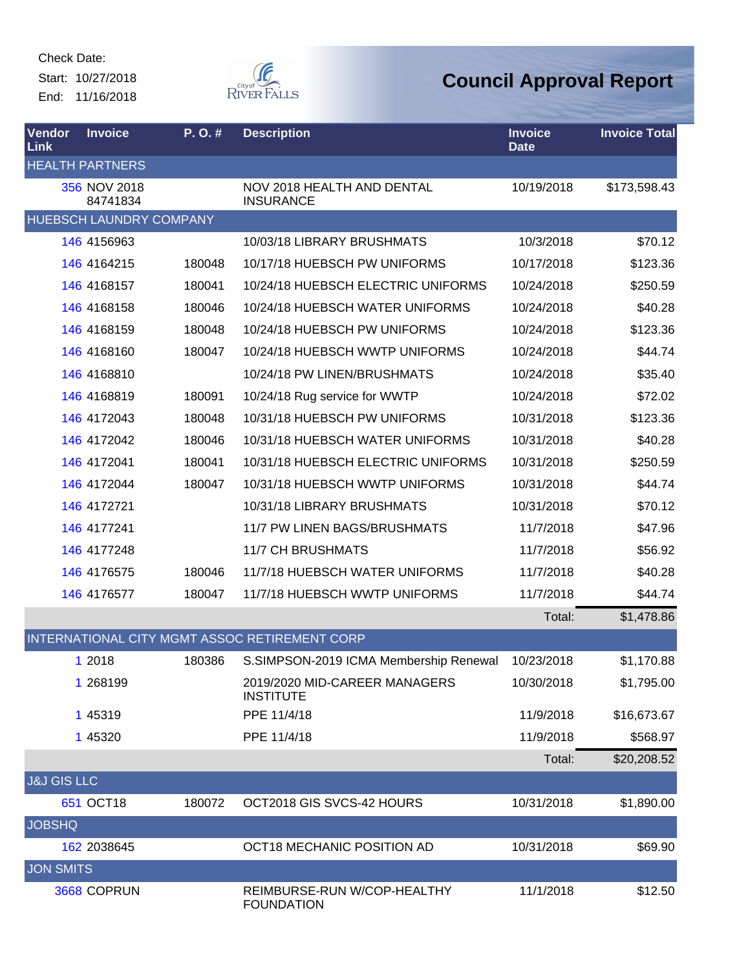Start: 10/27/2018 End: 11/16/2018



| Vendor<br>Link         | <b>Invoice</b>                 | P.O.#  | <b>Description</b>                                | <b>Invoice</b><br><b>Date</b> | <b>Invoice Total</b> |
|------------------------|--------------------------------|--------|---------------------------------------------------|-------------------------------|----------------------|
|                        | <b>HEALTH PARTNERS</b>         |        |                                                   |                               |                      |
|                        | 356 NOV 2018<br>84741834       |        | NOV 2018 HEALTH AND DENTAL<br><b>INSURANCE</b>    | 10/19/2018                    | \$173,598.43         |
|                        | <b>HUEBSCH LAUNDRY COMPANY</b> |        |                                                   |                               |                      |
|                        | 146 4156963                    |        | 10/03/18 LIBRARY BRUSHMATS                        | 10/3/2018                     | \$70.12              |
|                        | 146 4164215                    | 180048 | 10/17/18 HUEBSCH PW UNIFORMS                      | 10/17/2018                    | \$123.36             |
|                        | 146 4168157                    | 180041 | 10/24/18 HUEBSCH ELECTRIC UNIFORMS                | 10/24/2018                    | \$250.59             |
|                        | 146 4168158                    | 180046 | 10/24/18 HUEBSCH WATER UNIFORMS                   | 10/24/2018                    | \$40.28              |
|                        | 146 4168159                    | 180048 | 10/24/18 HUEBSCH PW UNIFORMS                      | 10/24/2018                    | \$123.36             |
|                        | 146 4168160                    | 180047 | 10/24/18 HUEBSCH WWTP UNIFORMS                    | 10/24/2018                    | \$44.74              |
|                        | 146 4168810                    |        | 10/24/18 PW LINEN/BRUSHMATS                       | 10/24/2018                    | \$35.40              |
|                        | 146 4168819                    | 180091 | 10/24/18 Rug service for WWTP                     | 10/24/2018                    | \$72.02              |
|                        | 146 4172043                    | 180048 | 10/31/18 HUEBSCH PW UNIFORMS                      | 10/31/2018                    | \$123.36             |
|                        | 146 4172042                    | 180046 | 10/31/18 HUEBSCH WATER UNIFORMS                   | 10/31/2018                    | \$40.28              |
|                        | 146 4172041                    | 180041 | 10/31/18 HUEBSCH ELECTRIC UNIFORMS                | 10/31/2018                    | \$250.59             |
|                        | 146 4172044                    | 180047 | 10/31/18 HUEBSCH WWTP UNIFORMS                    | 10/31/2018                    | \$44.74              |
|                        | 146 4172721                    |        | 10/31/18 LIBRARY BRUSHMATS                        | 10/31/2018                    | \$70.12              |
|                        | 146 4177241                    |        | 11/7 PW LINEN BAGS/BRUSHMATS                      | 11/7/2018                     | \$47.96              |
|                        | 146 4177248                    |        | <b>11/7 CH BRUSHMATS</b>                          | 11/7/2018                     | \$56.92              |
|                        | 146 4176575                    | 180046 | 11/7/18 HUEBSCH WATER UNIFORMS                    | 11/7/2018                     | \$40.28              |
|                        | 146 4176577                    | 180047 | 11/7/18 HUEBSCH WWTP UNIFORMS                     | 11/7/2018                     | \$44.74              |
|                        |                                |        |                                                   | Total:                        | \$1,478.86           |
|                        |                                |        | INTERNATIONAL CITY MGMT ASSOC RETIREMENT CORP     |                               |                      |
|                        | 1 2018                         | 180386 | S.SIMPSON-2019 ICMA Membership Renewal            | 10/23/2018                    | \$1,170.88           |
|                        | 1 268199                       |        | 2019/2020 MID-CAREER MANAGERS<br><b>INSTITUTE</b> | 10/30/2018                    | \$1,795.00           |
|                        | 1 45319                        |        | PPE 11/4/18                                       | 11/9/2018                     | \$16,673.67          |
|                        | 1 45320                        |        | PPE 11/4/18                                       | 11/9/2018                     | \$568.97             |
|                        |                                |        |                                                   | Total:                        | \$20,208.52          |
| <b>J&amp;J GIS LLC</b> |                                |        |                                                   |                               |                      |
|                        | 651 OCT18                      | 180072 | OCT2018 GIS SVCS-42 HOURS                         | 10/31/2018                    | \$1,890.00           |
| <b>JOBSHQ</b>          |                                |        |                                                   |                               |                      |
|                        | 162 2038645                    |        | OCT18 MECHANIC POSITION AD                        | 10/31/2018                    | \$69.90              |
| <b>JON SMITS</b>       |                                |        |                                                   |                               |                      |
|                        | 3668 COPRUN                    |        | REIMBURSE-RUN W/COP-HEALTHY<br><b>FOUNDATION</b>  | 11/1/2018                     | \$12.50              |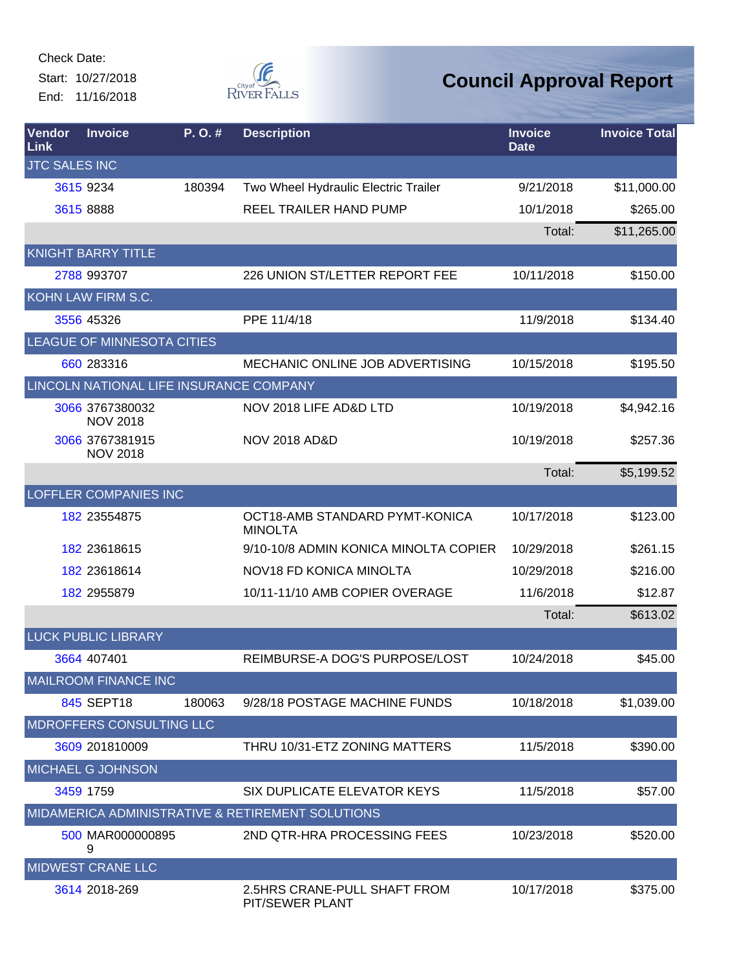Start: 10/27/2018 End: 11/16/2018



| <b>Vendor</b><br><b>Link</b> | <b>Invoice</b>                     | P.O.#                                   | <b>Description</b>                               | <b>Invoice</b><br><b>Date</b> | <b>Invoice Total</b> |
|------------------------------|------------------------------------|-----------------------------------------|--------------------------------------------------|-------------------------------|----------------------|
| <b>JTC SALES INC</b>         |                                    |                                         |                                                  |                               |                      |
|                              | 3615 9234                          | 180394                                  | Two Wheel Hydraulic Electric Trailer             | 9/21/2018                     | \$11,000.00          |
|                              | 3615 8888                          |                                         | <b>REEL TRAILER HAND PUMP</b>                    | 10/1/2018                     | \$265.00             |
|                              |                                    |                                         |                                                  | Total:                        | \$11,265.00          |
|                              | <b>KNIGHT BARRY TITLE</b>          |                                         |                                                  |                               |                      |
|                              | 2788 993707                        |                                         | 226 UNION ST/LETTER REPORT FEE                   | 10/11/2018                    | \$150.00             |
|                              | KOHN LAW FIRM S.C.                 |                                         |                                                  |                               |                      |
|                              | 3556 45326                         |                                         | PPE 11/4/18                                      | 11/9/2018                     | \$134.40             |
|                              | LEAGUE OF MINNESOTA CITIES         |                                         |                                                  |                               |                      |
|                              | 660 283316                         |                                         | MECHANIC ONLINE JOB ADVERTISING                  | 10/15/2018                    | \$195.50             |
|                              |                                    | LINCOLN NATIONAL LIFE INSURANCE COMPANY |                                                  |                               |                      |
|                              | 3066 3767380032<br><b>NOV 2018</b> |                                         | NOV 2018 LIFE AD&D LTD                           | 10/19/2018                    | \$4,942.16           |
|                              | 3066 3767381915<br><b>NOV 2018</b> |                                         | <b>NOV 2018 AD&amp;D</b>                         | 10/19/2018                    | \$257.36             |
|                              |                                    |                                         |                                                  | Total:                        | \$5,199.52           |
|                              | <b>LOFFLER COMPANIES INC</b>       |                                         |                                                  |                               |                      |
|                              | 182 23554875                       |                                         | OCT18-AMB STANDARD PYMT-KONICA<br><b>MINOLTA</b> | 10/17/2018                    | \$123.00             |
|                              | 182 23618615                       |                                         | 9/10-10/8 ADMIN KONICA MINOLTA COPIER            | 10/29/2018                    | \$261.15             |
|                              | 182 23618614                       |                                         | NOV18 FD KONICA MINOLTA                          | 10/29/2018                    | \$216.00             |
|                              | 182 2955879                        |                                         | 10/11-11/10 AMB COPIER OVERAGE                   | 11/6/2018                     | \$12.87              |
|                              |                                    |                                         |                                                  | Total:                        | \$613.02             |
|                              | <b>LUCK PUBLIC LIBRARY</b>         |                                         |                                                  |                               |                      |
|                              | 3664 407401                        |                                         | REIMBURSE-A DOG'S PURPOSE/LOST                   | 10/24/2018                    | \$45.00              |
|                              | <b>MAILROOM FINANCE INC</b>        |                                         |                                                  |                               |                      |
|                              | 845 SEPT18                         | 180063                                  | 9/28/18 POSTAGE MACHINE FUNDS                    | 10/18/2018                    | \$1,039.00           |
|                              | MDROFFERS CONSULTING LLC           |                                         |                                                  |                               |                      |
|                              | 3609 201810009                     |                                         | THRU 10/31-ETZ ZONING MATTERS                    | 11/5/2018                     | \$390.00             |
|                              | MICHAEL G JOHNSON                  |                                         |                                                  |                               |                      |
|                              | 3459 1759                          |                                         | SIX DUPLICATE ELEVATOR KEYS                      | 11/5/2018                     | \$57.00              |
|                              |                                    |                                         | MIDAMERICA ADMINISTRATIVE & RETIREMENT SOLUTIONS |                               |                      |
|                              | 500 MAR000000895<br>9              |                                         | 2ND QTR-HRA PROCESSING FEES                      | 10/23/2018                    | \$520.00             |
|                              | <b>MIDWEST CRANE LLC</b>           |                                         |                                                  |                               |                      |
|                              | 3614 2018-269                      |                                         | 2.5HRS CRANE-PULL SHAFT FROM<br>PIT/SEWER PLANT  | 10/17/2018                    | \$375.00             |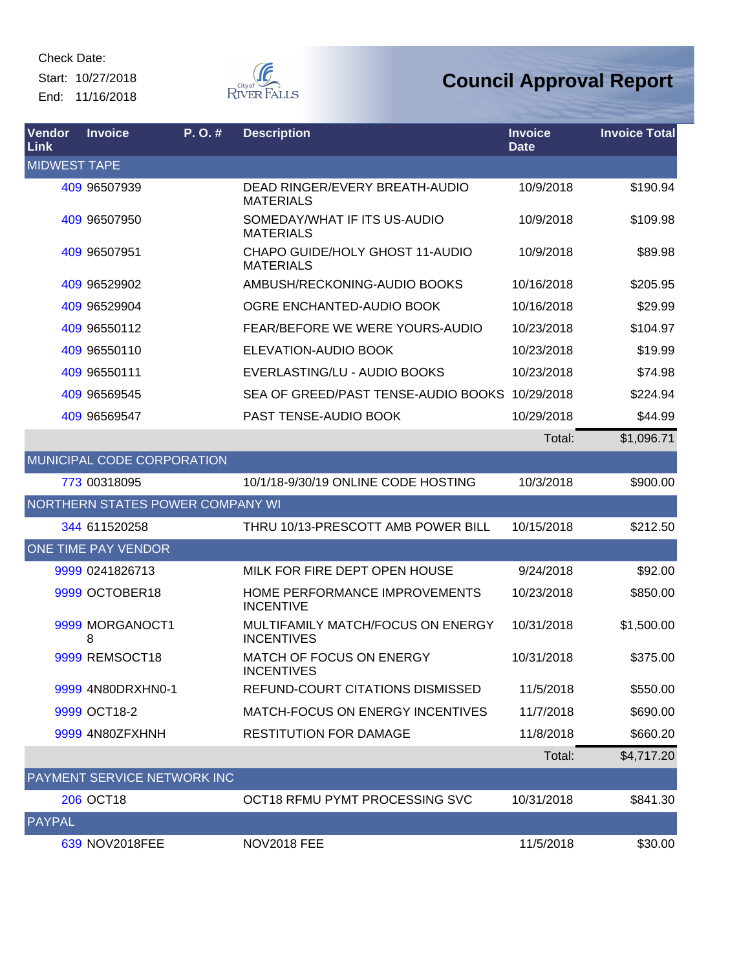Start: 10/27/2018 End: 11/16/2018



| Vendor<br>Link      | <b>Invoice</b>             | P.O.#                              | <b>Description</b>                                     | <b>Invoice</b><br><b>Date</b> | <b>Invoice Total</b> |
|---------------------|----------------------------|------------------------------------|--------------------------------------------------------|-------------------------------|----------------------|
| <b>MIDWEST TAPE</b> |                            |                                    |                                                        |                               |                      |
|                     | 409 96507939               |                                    | DEAD RINGER/EVERY BREATH-AUDIO<br><b>MATERIALS</b>     | 10/9/2018                     | \$190.94             |
|                     | 409 96507950               |                                    | SOMEDAY/WHAT IF ITS US-AUDIO<br><b>MATERIALS</b>       | 10/9/2018                     | \$109.98             |
|                     | 409 96507951               |                                    | CHAPO GUIDE/HOLY GHOST 11-AUDIO<br><b>MATERIALS</b>    | 10/9/2018                     | \$89.98              |
|                     | 409 96529902               |                                    | AMBUSH/RECKONING-AUDIO BOOKS                           | 10/16/2018                    | \$205.95             |
|                     | 409 96529904               |                                    | OGRE ENCHANTED-AUDIO BOOK                              | 10/16/2018                    | \$29.99              |
|                     | 409 96550112               |                                    | FEAR/BEFORE WE WERE YOURS-AUDIO                        | 10/23/2018                    | \$104.97             |
|                     | 409 96550110               |                                    | ELEVATION-AUDIO BOOK                                   | 10/23/2018                    | \$19.99              |
|                     | 409 96550111               |                                    | EVERLASTING/LU - AUDIO BOOKS                           | 10/23/2018                    | \$74.98              |
|                     | 409 96569545               |                                    | SEA OF GREED/PAST TENSE-AUDIO BOOKS                    | 10/29/2018                    | \$224.94             |
|                     | 409 96569547               |                                    | PAST TENSE-AUDIO BOOK                                  | 10/29/2018                    | \$44.99              |
|                     |                            |                                    |                                                        | Total:                        | \$1,096.71           |
|                     |                            | MUNICIPAL CODE CORPORATION         |                                                        |                               |                      |
|                     | 773 00318095               |                                    | 10/1/18-9/30/19 ONLINE CODE HOSTING                    | 10/3/2018                     | \$900.00             |
|                     |                            | NORTHERN STATES POWER COMPANY WI   |                                                        |                               |                      |
|                     | 344 611520258              |                                    | THRU 10/13-PRESCOTT AMB POWER BILL                     | 10/15/2018                    | \$212.50             |
|                     | <b>ONE TIME PAY VENDOR</b> |                                    |                                                        |                               |                      |
|                     | 9999 0241826713            |                                    | MILK FOR FIRE DEPT OPEN HOUSE                          | 9/24/2018                     | \$92.00              |
|                     | 9999 OCTOBER18             |                                    | HOME PERFORMANCE IMPROVEMENTS<br><b>INCENTIVE</b>      | 10/23/2018                    | \$850.00             |
|                     | 9999 MORGANOCT1<br>8       |                                    | MULTIFAMILY MATCH/FOCUS ON ENERGY<br><b>INCENTIVES</b> | 10/31/2018                    | \$1,500.00           |
|                     | 9999 REMSOCT18             |                                    | MATCH OF FOCUS ON ENERGY<br><b>INCENTIVES</b>          | 10/31/2018                    | \$375.00             |
|                     | 9999 4N80DRXHN0-1          |                                    | REFUND-COURT CITATIONS DISMISSED                       | 11/5/2018                     | \$550.00             |
|                     | 9999 OCT18-2               |                                    | MATCH-FOCUS ON ENERGY INCENTIVES                       | 11/7/2018                     | \$690.00             |
|                     | 9999 4N80ZFXHNH            |                                    | <b>RESTITUTION FOR DAMAGE</b>                          | 11/8/2018                     | \$660.20             |
|                     |                            |                                    |                                                        | Total:                        | \$4,717.20           |
|                     |                            | <b>PAYMENT SERVICE NETWORK INC</b> |                                                        |                               |                      |
|                     | 206 OCT18                  |                                    | OCT18 RFMU PYMT PROCESSING SVC                         | 10/31/2018                    | \$841.30             |
| PAYPAL              |                            |                                    |                                                        |                               |                      |
|                     | 639 NOV2018FEE             |                                    | <b>NOV2018 FEE</b>                                     | 11/5/2018                     | \$30.00              |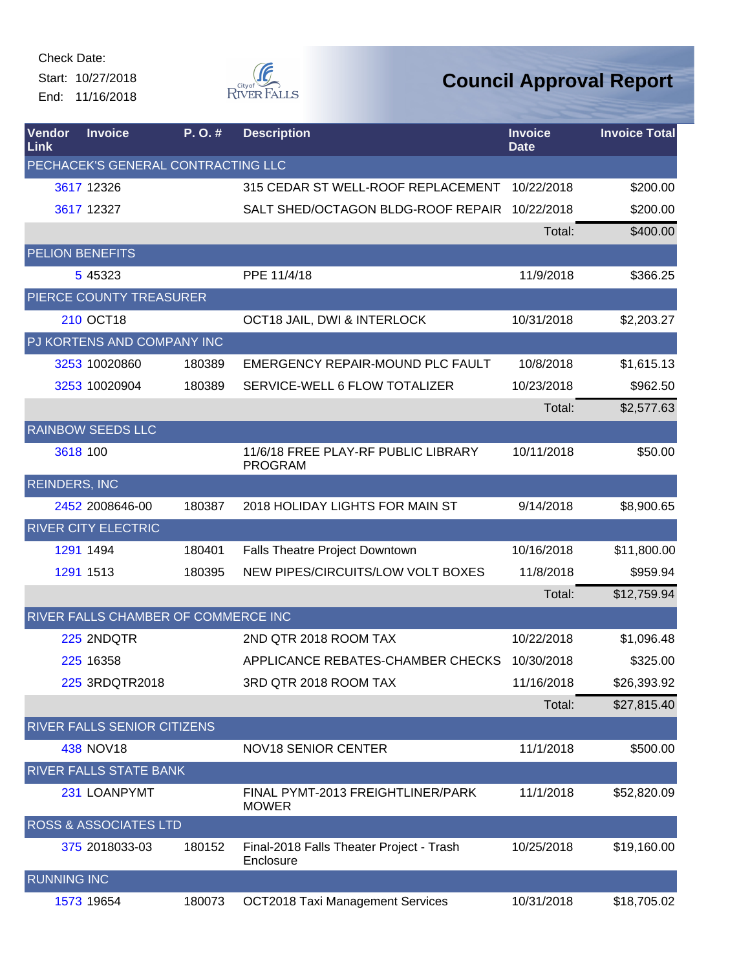Check Date: Start: 10/27/2018

End: 11/16/2018



| Vendor<br>Link       | <b>Invoice</b>                      | P.O.#  | <b>Description</b>                                    | <b>Invoice</b><br><b>Date</b> | <b>Invoice Total</b> |
|----------------------|-------------------------------------|--------|-------------------------------------------------------|-------------------------------|----------------------|
|                      | PECHACEK'S GENERAL CONTRACTING LLC  |        |                                                       |                               |                      |
|                      | 3617 12326                          |        | 315 CEDAR ST WELL-ROOF REPLACEMENT                    | 10/22/2018                    | \$200.00             |
|                      | 3617 12327                          |        | SALT SHED/OCTAGON BLDG-ROOF REPAIR                    | 10/22/2018                    | \$200.00             |
|                      |                                     |        |                                                       | Total:                        | \$400.00             |
|                      | <b>PELION BENEFITS</b>              |        |                                                       |                               |                      |
|                      | 5 45323                             |        | PPE 11/4/18                                           | 11/9/2018                     | \$366.25             |
|                      | PIERCE COUNTY TREASURER             |        |                                                       |                               |                      |
|                      | 210 OCT18                           |        | OCT18 JAIL, DWI & INTERLOCK                           | 10/31/2018                    | \$2,203.27           |
|                      | PJ KORTENS AND COMPANY INC          |        |                                                       |                               |                      |
|                      | 3253 10020860                       | 180389 | EMERGENCY REPAIR-MOUND PLC FAULT                      | 10/8/2018                     | \$1,615.13           |
|                      | 3253 10020904                       | 180389 | SERVICE-WELL 6 FLOW TOTALIZER                         | 10/23/2018                    | \$962.50             |
|                      |                                     |        |                                                       | Total:                        | \$2,577.63           |
|                      | <b>RAINBOW SEEDS LLC</b>            |        |                                                       |                               |                      |
|                      | 3618 100                            |        | 11/6/18 FREE PLAY-RF PUBLIC LIBRARY<br><b>PROGRAM</b> | 10/11/2018                    | \$50.00              |
| <b>REINDERS, INC</b> |                                     |        |                                                       |                               |                      |
|                      | 2452 2008646-00                     | 180387 | 2018 HOLIDAY LIGHTS FOR MAIN ST                       | 9/14/2018                     | \$8,900.65           |
|                      | <b>RIVER CITY ELECTRIC</b>          |        |                                                       |                               |                      |
|                      | 1291 1494                           | 180401 | Falls Theatre Project Downtown                        | 10/16/2018                    | \$11,800.00          |
|                      | 1291 1513                           | 180395 | NEW PIPES/CIRCUITS/LOW VOLT BOXES                     | 11/8/2018                     | \$959.94             |
|                      |                                     |        |                                                       | Total:                        | \$12,759.94          |
|                      | RIVER FALLS CHAMBER OF COMMERCE INC |        |                                                       |                               |                      |
|                      | 225 2NDQTR                          |        | 2ND QTR 2018 ROOM TAX                                 | 10/22/2018                    | \$1,096.48           |
|                      | 225 16358                           |        | APPLICANCE REBATES-CHAMBER CHECKS                     | 10/30/2018                    | \$325.00             |
|                      | 225 3RDQTR2018                      |        | 3RD QTR 2018 ROOM TAX                                 | 11/16/2018                    | \$26,393.92          |
|                      |                                     |        |                                                       | Total:                        | \$27,815.40          |
|                      | RIVER FALLS SENIOR CITIZENS         |        |                                                       |                               |                      |
|                      | 438 NOV18                           |        | <b>NOV18 SENIOR CENTER</b>                            | 11/1/2018                     | \$500.00             |
|                      | RIVER FALLS STATE BANK              |        |                                                       |                               |                      |
|                      | 231 LOANPYMT                        |        | FINAL PYMT-2013 FREIGHTLINER/PARK<br><b>MOWER</b>     | 11/1/2018                     | \$52,820.09          |
|                      | ROSS & ASSOCIATES LTD               |        |                                                       |                               |                      |
|                      | 375 2018033-03                      | 180152 | Final-2018 Falls Theater Project - Trash<br>Enclosure | 10/25/2018                    | \$19,160.00          |
| <b>RUNNING INC</b>   |                                     |        |                                                       |                               |                      |
|                      | 1573 19654                          | 180073 | <b>OCT2018 Taxi Management Services</b>               | 10/31/2018                    | \$18,705.02          |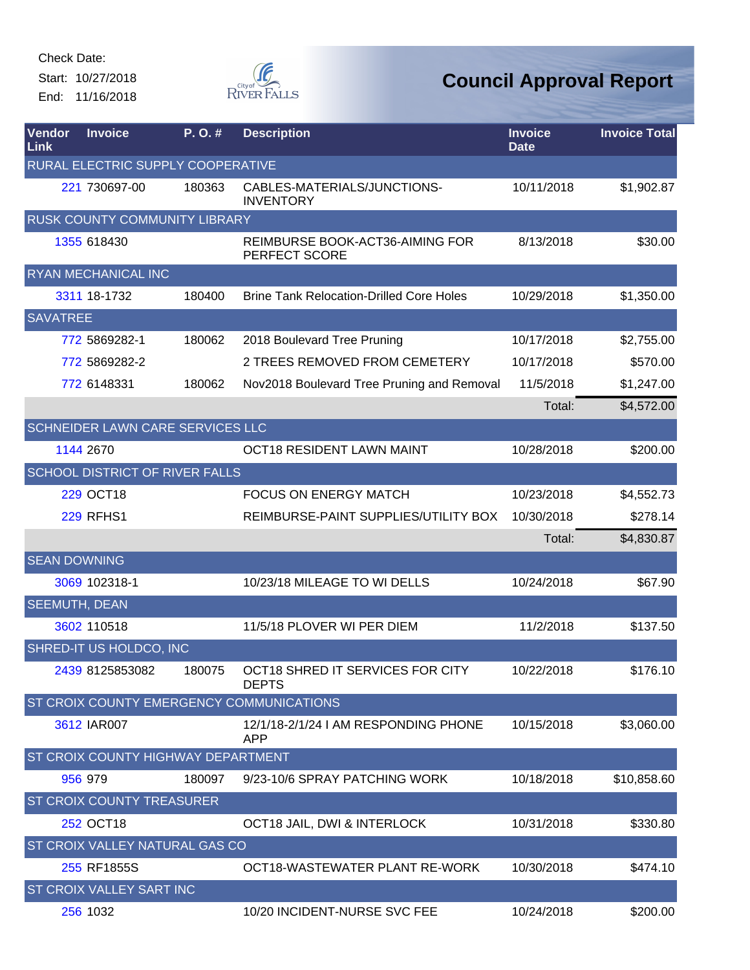Start: 10/27/2018 End: 11/16/2018



| Vendor<br>Link       | <b>Invoice</b>                   | P.O.#                                 | <b>Description</b>                                 | <b>Invoice</b><br><b>Date</b> | <b>Invoice Total</b> |
|----------------------|----------------------------------|---------------------------------------|----------------------------------------------------|-------------------------------|----------------------|
|                      |                                  | RURAL ELECTRIC SUPPLY COOPERATIVE     |                                                    |                               |                      |
|                      | 221 730697-00                    | 180363                                | CABLES-MATERIALS/JUNCTIONS-<br><b>INVENTORY</b>    | 10/11/2018                    | \$1,902.87           |
|                      |                                  | RUSK COUNTY COMMUNITY LIBRARY         |                                                    |                               |                      |
|                      | 1355 618430                      |                                       | REIMBURSE BOOK-ACT36-AIMING FOR<br>PERFECT SCORE   | 8/13/2018                     | \$30.00              |
|                      | RYAN MECHANICAL INC              |                                       |                                                    |                               |                      |
|                      | 3311 18-1732                     | 180400                                | <b>Brine Tank Relocation-Drilled Core Holes</b>    | 10/29/2018                    | \$1,350.00           |
| <b>SAVATREE</b>      |                                  |                                       |                                                    |                               |                      |
|                      | 772 5869282-1                    | 180062                                | 2018 Boulevard Tree Pruning                        | 10/17/2018                    | \$2,755.00           |
|                      | 772 5869282-2                    |                                       | 2 TREES REMOVED FROM CEMETERY                      | 10/17/2018                    | \$570.00             |
|                      | 772 6148331                      | 180062                                | Nov2018 Boulevard Tree Pruning and Removal         | 11/5/2018                     | \$1,247.00           |
|                      |                                  |                                       |                                                    | Total:                        | \$4,572.00           |
|                      |                                  | SCHNEIDER LAWN CARE SERVICES LLC      |                                                    |                               |                      |
|                      | 1144 2670                        |                                       | OCT18 RESIDENT LAWN MAINT                          | 10/28/2018                    | \$200.00             |
|                      |                                  | <b>SCHOOL DISTRICT OF RIVER FALLS</b> |                                                    |                               |                      |
|                      | <b>229 OCT18</b>                 |                                       | FOCUS ON ENERGY MATCH                              | 10/23/2018                    | \$4,552.73           |
|                      | <b>229 RFHS1</b>                 |                                       | REIMBURSE-PAINT SUPPLIES/UTILITY BOX               | 10/30/2018                    | \$278.14             |
|                      |                                  |                                       |                                                    | Total:                        | \$4,830.87           |
| <b>SEAN DOWNING</b>  |                                  |                                       |                                                    |                               |                      |
|                      | 3069 102318-1                    |                                       | 10/23/18 MILEAGE TO WI DELLS                       | 10/24/2018                    | \$67.90              |
| <b>SEEMUTH, DEAN</b> |                                  |                                       |                                                    |                               |                      |
|                      | 3602 110518                      |                                       | 11/5/18 PLOVER WI PER DIEM                         | 11/2/2018                     | \$137.50             |
|                      | SHRED-IT US HOLDCO, INC          |                                       |                                                    |                               |                      |
|                      | 2439 8125853082                  | 180075                                | OCT18 SHRED IT SERVICES FOR CITY<br><b>DEPTS</b>   | 10/22/2018                    | \$176.10             |
|                      |                                  |                                       | ST CROIX COUNTY EMERGENCY COMMUNICATIONS           |                               |                      |
|                      | 3612 IAR007                      |                                       | 12/1/18-2/1/24 I AM RESPONDING PHONE<br><b>APP</b> | 10/15/2018                    | \$3,060.00           |
|                      |                                  | ST CROIX COUNTY HIGHWAY DEPARTMENT    |                                                    |                               |                      |
|                      | 956 979                          | 180097                                | 9/23-10/6 SPRAY PATCHING WORK                      | 10/18/2018                    | \$10,858.60          |
|                      | <b>ST CROIX COUNTY TREASURER</b> |                                       |                                                    |                               |                      |
|                      | 252 OCT18                        |                                       | OCT18 JAIL, DWI & INTERLOCK                        | 10/31/2018                    | \$330.80             |
|                      |                                  | ST CROIX VALLEY NATURAL GAS CO        |                                                    |                               |                      |
|                      | 255 RF1855S                      |                                       | OCT18-WASTEWATER PLANT RE-WORK                     | 10/30/2018                    | \$474.10             |
|                      | ST CROIX VALLEY SART INC         |                                       |                                                    |                               |                      |
|                      | 256 1032                         |                                       | 10/20 INCIDENT-NURSE SVC FEE                       | 10/24/2018                    | \$200.00             |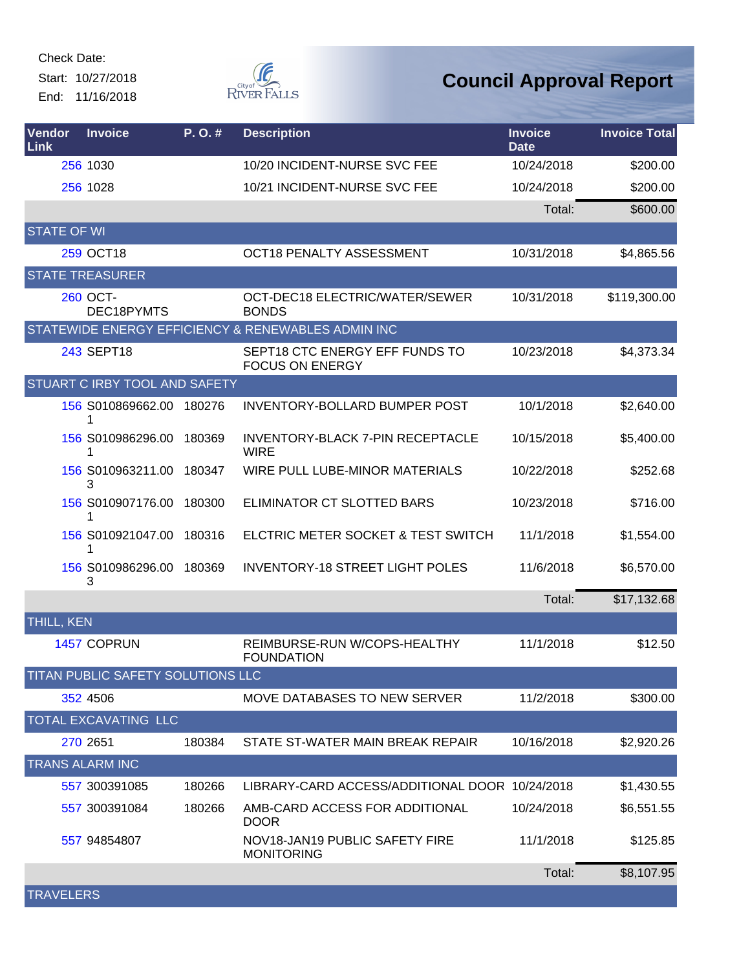Start: 10/27/2018 End: 11/16/2018



| Vendor<br>Link     | <b>Invoice</b>                       | P.O.#  | <b>Description</b>                                       | <b>Invoice</b><br><b>Date</b> | <b>Invoice Total</b> |
|--------------------|--------------------------------------|--------|----------------------------------------------------------|-------------------------------|----------------------|
|                    | 256 1030                             |        | 10/20 INCIDENT-NURSE SVC FEE                             | 10/24/2018                    | \$200.00             |
|                    | 256 1028                             |        | 10/21 INCIDENT-NURSE SVC FEE                             | 10/24/2018                    | \$200.00             |
|                    |                                      |        |                                                          | Total:                        | \$600.00             |
| <b>STATE OF WI</b> |                                      |        |                                                          |                               |                      |
|                    | 259 OCT18                            |        | <b>OCT18 PENALTY ASSESSMENT</b>                          | 10/31/2018                    | \$4,865.56           |
|                    | <b>STATE TREASURER</b>               |        |                                                          |                               |                      |
|                    | 260 OCT-<br>DEC18PYMTS               |        | OCT-DEC18 ELECTRIC/WATER/SEWER<br><b>BONDS</b>           | 10/31/2018                    | \$119,300.00         |
|                    |                                      |        | STATEWIDE ENERGY EFFICIENCY & RENEWABLES ADMIN INC       |                               |                      |
|                    | 243 SEPT18                           |        | SEPT18 CTC ENERGY EFF FUNDS TO<br><b>FOCUS ON ENERGY</b> | 10/23/2018                    | \$4,373.34           |
|                    | <b>STUART C IRBY TOOL AND SAFETY</b> |        |                                                          |                               |                      |
|                    | 156 S010869662.00<br>1               | 180276 | <b>INVENTORY-BOLLARD BUMPER POST</b>                     | 10/1/2018                     | \$2,640.00           |
|                    | 156 S010986296.00                    | 180369 | <b>INVENTORY-BLACK 7-PIN RECEPTACLE</b><br><b>WIRE</b>   | 10/15/2018                    | \$5,400.00           |
|                    | 156 S010963211.00<br>3               | 180347 | WIRE PULL LUBE-MINOR MATERIALS                           | 10/22/2018                    | \$252.68             |
|                    | 156 S010907176.00<br>1               | 180300 | ELIMINATOR CT SLOTTED BARS                               | 10/23/2018                    | \$716.00             |
|                    | 156 S010921047.00<br>1               | 180316 | ELCTRIC METER SOCKET & TEST SWITCH                       | 11/1/2018                     | \$1,554.00           |
|                    | 156 S010986296.00<br>3               | 180369 | <b>INVENTORY-18 STREET LIGHT POLES</b>                   | 11/6/2018                     | \$6,570.00           |
|                    |                                      |        |                                                          | Total:                        | \$17,132.68          |
| <b>THILL, KEN</b>  |                                      |        |                                                          |                               |                      |
|                    | 1457 COPRUN                          |        | REIMBURSE-RUN W/COPS-HEALTHY<br><b>FOUNDATION</b>        | 11/1/2018                     | \$12.50              |
|                    | TITAN PUBLIC SAFETY SOLUTIONS LLC    |        |                                                          |                               |                      |
|                    | 352 4506                             |        | MOVE DATABASES TO NEW SERVER                             | 11/2/2018                     | \$300.00             |
|                    | <b>TOTAL EXCAVATING LLC</b>          |        |                                                          |                               |                      |
|                    | 270 2651                             | 180384 | STATE ST-WATER MAIN BREAK REPAIR                         | 10/16/2018                    | \$2,920.26           |
|                    | <b>TRANS ALARM INC</b>               |        |                                                          |                               |                      |
|                    | 557 300391085                        | 180266 | LIBRARY-CARD ACCESS/ADDITIONAL DOOR 10/24/2018           |                               | \$1,430.55           |
|                    | 557 300391084                        | 180266 | AMB-CARD ACCESS FOR ADDITIONAL<br><b>DOOR</b>            | 10/24/2018                    | \$6,551.55           |
|                    | 557 94854807                         |        | NOV18-JAN19 PUBLIC SAFETY FIRE<br><b>MONITORING</b>      | 11/1/2018                     | \$125.85             |
|                    |                                      |        |                                                          | Total:                        | \$8,107.95           |
| <b>TRAVELERS</b>   |                                      |        |                                                          |                               |                      |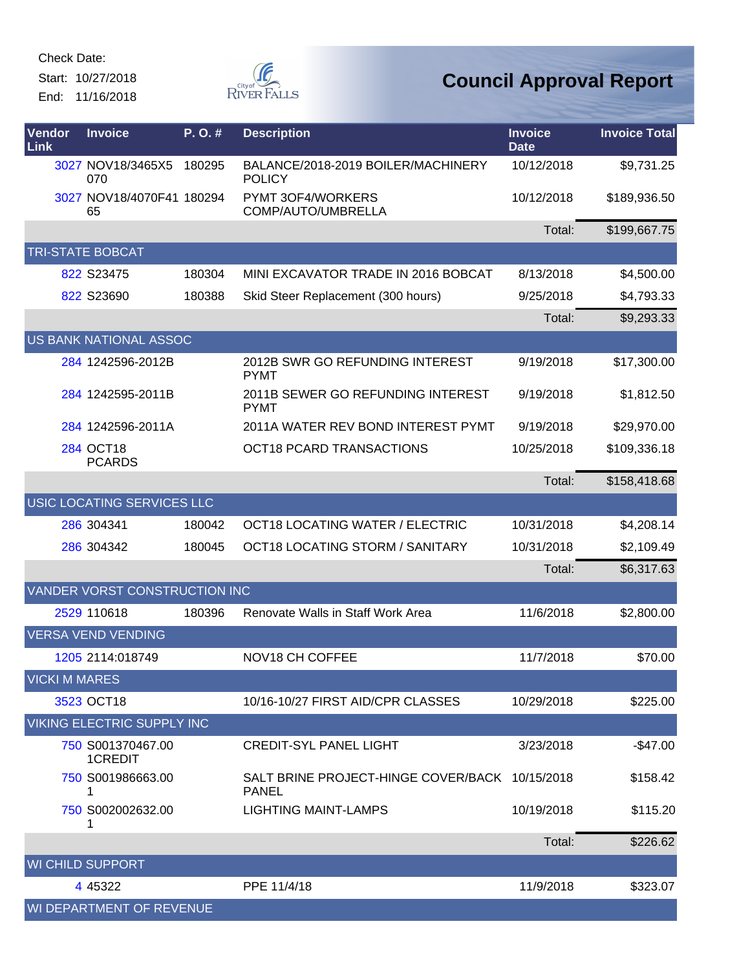Start: 10/27/2018 End: 11/16/2018



| Vendor<br>Link       | <b>Invoice</b>                    | P. O. # | <b>Description</b>                                             | <b>Invoice</b><br><b>Date</b> | <b>Invoice Total</b> |
|----------------------|-----------------------------------|---------|----------------------------------------------------------------|-------------------------------|----------------------|
|                      | 3027 NOV18/3465X5<br>070          | 180295  | BALANCE/2018-2019 BOILER/MACHINERY<br><b>POLICY</b>            | 10/12/2018                    | \$9,731.25           |
|                      | 3027 NOV18/4070F41 180294<br>65   |         | PYMT 3OF4/WORKERS<br>COMP/AUTO/UMBRELLA                        | 10/12/2018                    | \$189,936.50         |
|                      |                                   |         |                                                                | Total:                        | \$199,667.75         |
|                      | <b>RI-STATE BOBCAT</b>            |         |                                                                |                               |                      |
|                      | 822 S23475                        | 180304  | MINI EXCAVATOR TRADE IN 2016 BOBCAT                            | 8/13/2018                     | \$4,500.00           |
|                      | 822 S23690                        | 180388  | Skid Steer Replacement (300 hours)                             | 9/25/2018                     | \$4,793.33           |
|                      |                                   |         |                                                                | Total:                        | \$9,293.33           |
|                      | US BANK NATIONAL ASSOC            |         |                                                                |                               |                      |
|                      | 284 1242596-2012B                 |         | 2012B SWR GO REFUNDING INTEREST<br><b>PYMT</b>                 | 9/19/2018                     | \$17,300.00          |
|                      | 284 1242595-2011B                 |         | 2011B SEWER GO REFUNDING INTEREST<br><b>PYMT</b>               | 9/19/2018                     | \$1,812.50           |
|                      | 284 1242596-2011A                 |         | 2011A WATER REV BOND INTEREST PYMT                             | 9/19/2018                     | \$29,970.00          |
|                      | 284 OCT18<br><b>PCARDS</b>        |         | <b>OCT18 PCARD TRANSACTIONS</b>                                | 10/25/2018                    | \$109,336.18         |
|                      |                                   |         |                                                                | Total:                        | \$158,418.68         |
|                      | USIC LOCATING SERVICES LLC        |         |                                                                |                               |                      |
|                      | 286 304341                        | 180042  | OCT18 LOCATING WATER / ELECTRIC                                | 10/31/2018                    | \$4,208.14           |
|                      | 286 304342                        | 180045  | OCT18 LOCATING STORM / SANITARY                                | 10/31/2018                    | \$2,109.49           |
|                      |                                   |         |                                                                | Total:                        | \$6,317.63           |
|                      | VANDER VORST CONSTRUCTION INC     |         |                                                                |                               |                      |
|                      | 2529 110618                       | 180396  | Renovate Walls in Staff Work Area                              | 11/6/2018                     | \$2,800.00           |
|                      | <b>VERSA VEND VENDING</b>         |         |                                                                |                               |                      |
|                      | 1205 2114:018749                  |         | NOV18 CH COFFEE                                                | 11/7/2018                     | \$70.00              |
| <b>VICKI M MARES</b> |                                   |         |                                                                |                               |                      |
|                      | 3523 OCT18                        |         | 10/16-10/27 FIRST AID/CPR CLASSES                              | 10/29/2018                    | \$225.00             |
|                      | <b>VIKING ELECTRIC SUPPLY INC</b> |         |                                                                |                               |                      |
|                      | 750 S001370467.00<br>1CREDIT      |         | <b>CREDIT-SYL PANEL LIGHT</b>                                  | 3/23/2018                     | $-$ \$47.00          |
|                      | 750 S001986663.00<br>1            |         | SALT BRINE PROJECT-HINGE COVER/BACK 10/15/2018<br><b>PANEL</b> |                               | \$158.42             |
|                      | 750 S002002632.00<br>1            |         | <b>LIGHTING MAINT-LAMPS</b>                                    | 10/19/2018                    | \$115.20             |
|                      |                                   |         |                                                                | Total:                        | \$226.62             |
|                      | <b>WI CHILD SUPPORT</b>           |         |                                                                |                               |                      |
|                      | 4 4 5 3 2 2                       |         | PPE 11/4/18                                                    | 11/9/2018                     | \$323.07             |
|                      | WI DEPARTMENT OF REVENUE          |         |                                                                |                               |                      |